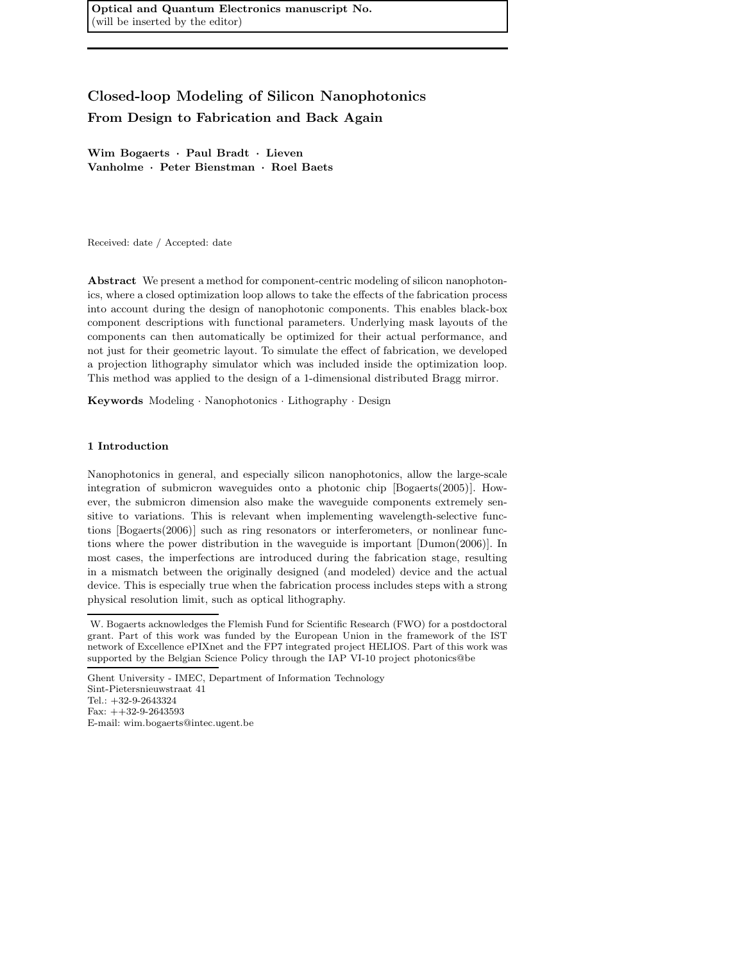Optical and Quantum Electronics manuscript No. (will be inserted by the editor)

# Closed-loop Modeling of Silicon Nanophotonics From Design to Fabrication and Back Again

Wim Bogaerts · Paul Bradt · Lieven Vanholme · Peter Bienstman · Roel Baets

Received: date / Accepted: date

Abstract We present a method for component-centric modeling of silicon nanophotonics, where a closed optimization loop allows to take the effects of the fabrication process into account during the design of nanophotonic components. This enables black-box component descriptions with functional parameters. Underlying mask layouts of the components can then automatically be optimized for their actual performance, and not just for their geometric layout. To simulate the effect of fabrication, we developed a projection lithography simulator which was included inside the optimization loop. This method was applied to the design of a 1-dimensional distributed Bragg mirror.

Keywords Modeling · Nanophotonics · Lithography · Design

# 1 Introduction

Nanophotonics in general, and especially silicon nanophotonics, allow the large-scale integration of submicron waveguides onto a photonic chip [Bogaerts(2005)]. However, the submicron dimension also make the waveguide components extremely sensitive to variations. This is relevant when implementing wavelength-selective functions [Bogaerts(2006)] such as ring resonators or interferometers, or nonlinear functions where the power distribution in the waveguide is important [Dumon(2006)]. In most cases, the imperfections are introduced during the fabrication stage, resulting in a mismatch between the originally designed (and modeled) device and the actual device. This is especially true when the fabrication process includes steps with a strong physical resolution limit, such as optical lithography.

W. Bogaerts acknowledges the Flemish Fund for Scientific Research (FWO) for a postdoctoral grant. Part of this work was funded by the European Union in the framework of the IST network of Excellence ePIXnet and the FP7 integrated project HELIOS. Part of this work was supported by the Belgian Science Policy through the IAP VI-10 project photonics@be

Ghent University - IMEC, Department of Information Technology Sint-Pietersnieuwstraat 41 Tel.: +32-9-2643324 Fax: ++32-9-2643593 E-mail: wim.bogaerts@intec.ugent.be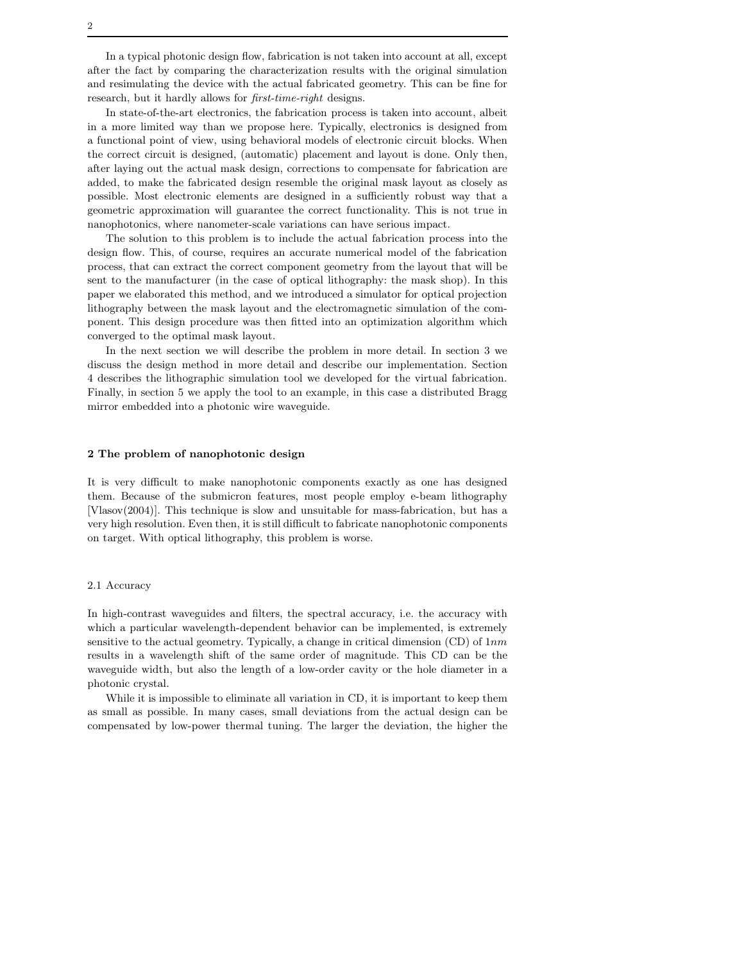In a typical photonic design flow, fabrication is not taken into account at all, except after the fact by comparing the characterization results with the original simulation and resimulating the device with the actual fabricated geometry. This can be fine for research, but it hardly allows for *first-time-right* designs.

In state-of-the-art electronics, the fabrication process is taken into account, albeit in a more limited way than we propose here. Typically, electronics is designed from a functional point of view, using behavioral models of electronic circuit blocks. When the correct circuit is designed, (automatic) placement and layout is done. Only then, after laying out the actual mask design, corrections to compensate for fabrication are added, to make the fabricated design resemble the original mask layout as closely as possible. Most electronic elements are designed in a sufficiently robust way that a geometric approximation will guarantee the correct functionality. This is not true in nanophotonics, where nanometer-scale variations can have serious impact.

The solution to this problem is to include the actual fabrication process into the design flow. This, of course, requires an accurate numerical model of the fabrication process, that can extract the correct component geometry from the layout that will be sent to the manufacturer (in the case of optical lithography: the mask shop). In this paper we elaborated this method, and we introduced a simulator for optical projection lithography between the mask layout and the electromagnetic simulation of the component. This design procedure was then fitted into an optimization algorithm which converged to the optimal mask layout.

In the next section we will describe the problem in more detail. In section 3 we discuss the design method in more detail and describe our implementation. Section 4 describes the lithographic simulation tool we developed for the virtual fabrication. Finally, in section 5 we apply the tool to an example, in this case a distributed Bragg mirror embedded into a photonic wire waveguide.

# 2 The problem of nanophotonic design

It is very difficult to make nanophotonic components exactly as one has designed them. Because of the submicron features, most people employ e-beam lithography [Vlasov(2004)]. This technique is slow and unsuitable for mass-fabrication, but has a very high resolution. Even then, it is still difficult to fabricate nanophotonic components on target. With optical lithography, this problem is worse.

# 2.1 Accuracy

In high-contrast waveguides and filters, the spectral accuracy, i.e. the accuracy with which a particular wavelength-dependent behavior can be implemented, is extremely sensitive to the actual geometry. Typically, a change in critical dimension  $(CD)$  of  $1nm$ results in a wavelength shift of the same order of magnitude. This CD can be the waveguide width, but also the length of a low-order cavity or the hole diameter in a photonic crystal.

While it is impossible to eliminate all variation in CD, it is important to keep them as small as possible. In many cases, small deviations from the actual design can be compensated by low-power thermal tuning. The larger the deviation, the higher the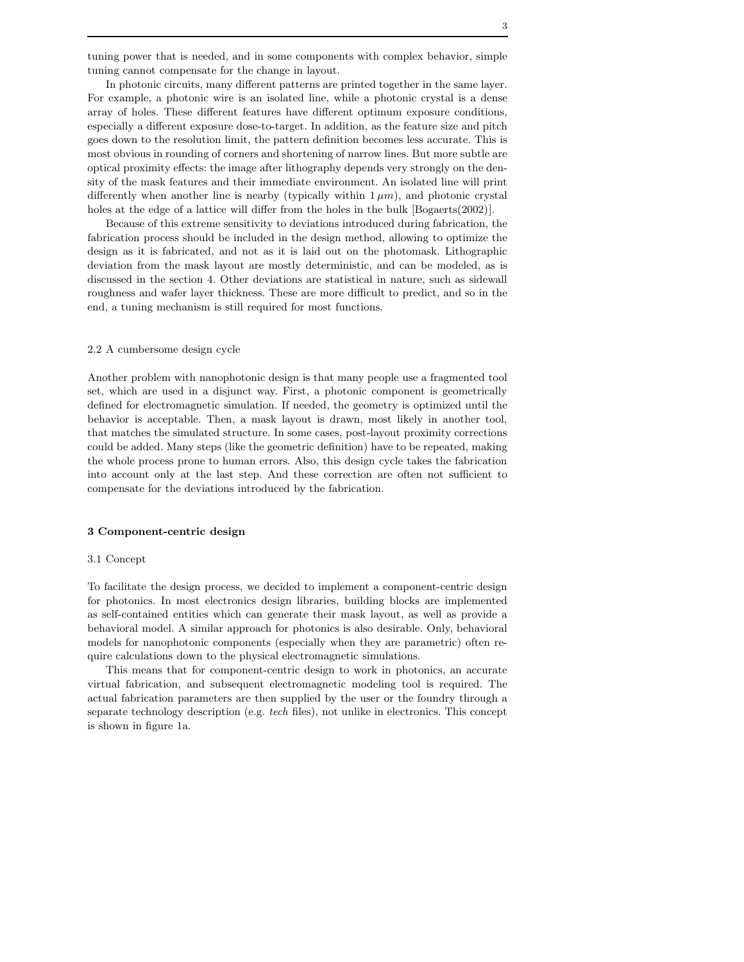tuning power that is needed, and in some components with complex behavior, simple tuning cannot compensate for the change in layout.

In photonic circuits, many different patterns are printed together in the same layer. For example, a photonic wire is an isolated line, while a photonic crystal is a dense array of holes. These different features have different optimum exposure conditions, especially a different exposure dose-to-target. In addition, as the feature size and pitch goes down to the resolution limit, the pattern definition becomes less accurate. This is most obvious in rounding of corners and shortening of narrow lines. But more subtle are optical proximity effects: the image after lithography depends very strongly on the density of the mask features and their immediate environment. An isolated line will print differently when another line is nearby (typically within  $1 \mu m$ ), and photonic crystal holes at the edge of a lattice will differ from the holes in the bulk [Bogaerts(2002)].

Because of this extreme sensitivity to deviations introduced during fabrication, the fabrication process should be included in the design method, allowing to optimize the design as it is fabricated, and not as it is laid out on the photomask. Lithographic deviation from the mask layout are mostly deterministic, and can be modeled, as is discussed in the section 4. Other deviations are statistical in nature, such as sidewall roughness and wafer layer thickness. These are more difficult to predict, and so in the end, a tuning mechanism is still required for most functions.

#### 2.2 A cumbersome design cycle

Another problem with nanophotonic design is that many people use a fragmented tool set, which are used in a disjunct way. First, a photonic component is geometrically defined for electromagnetic simulation. If needed, the geometry is optimized until the behavior is acceptable. Then, a mask layout is drawn, most likely in another tool, that matches the simulated structure. In some cases, post-layout proximity corrections could be added. Many steps (like the geometric definition) have to be repeated, making the whole process prone to human errors. Also, this design cycle takes the fabrication into account only at the last step. And these correction are often not sufficient to compensate for the deviations introduced by the fabrication.

#### 3 Component-centric design

#### 3.1 Concept

To facilitate the design process, we decided to implement a component-centric design for photonics. In most electronics design libraries, building blocks are implemented as self-contained entities which can generate their mask layout, as well as provide a behavioral model. A similar approach for photonics is also desirable. Only, behavioral models for nanophotonic components (especially when they are parametric) often require calculations down to the physical electromagnetic simulations.

This means that for component-centric design to work in photonics, an accurate virtual fabrication, and subsequent electromagnetic modeling tool is required. The actual fabrication parameters are then supplied by the user or the foundry through a separate technology description (e.g. tech files), not unlike in electronics. This concept is shown in figure 1a.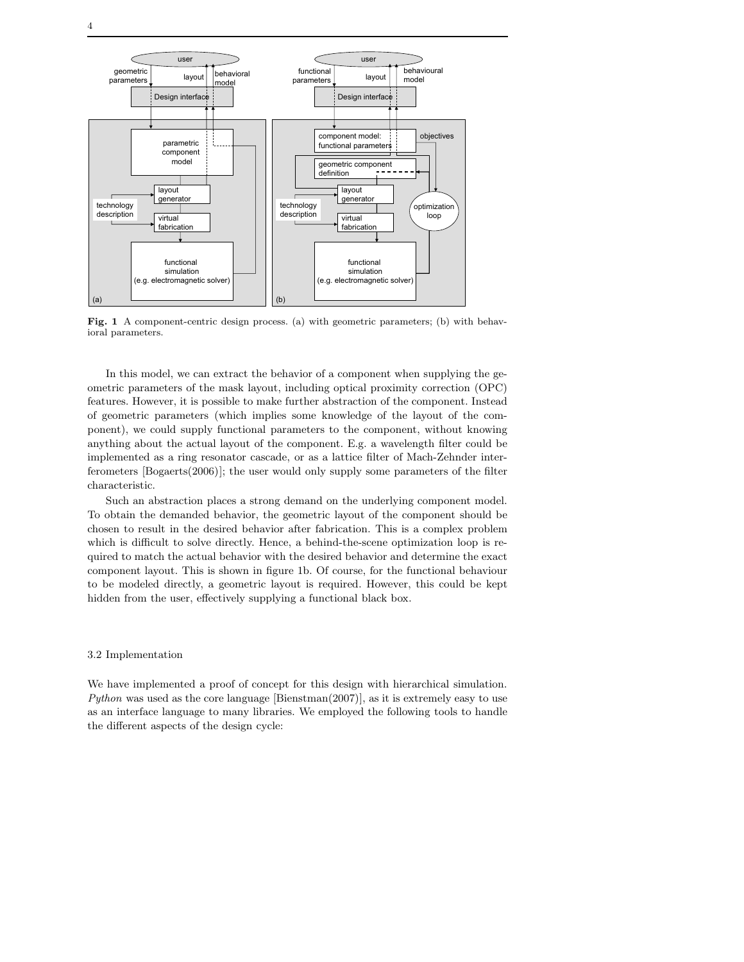

Fig. 1 A component-centric design process. (a) with geometric parameters; (b) with behavioral parameters.

In this model, we can extract the behavior of a component when supplying the geometric parameters of the mask layout, including optical proximity correction (OPC) features. However, it is possible to make further abstraction of the component. Instead of geometric parameters (which implies some knowledge of the layout of the component), we could supply functional parameters to the component, without knowing anything about the actual layout of the component. E.g. a wavelength filter could be implemented as a ring resonator cascade, or as a lattice filter of Mach-Zehnder interferometers [Bogaerts(2006)]; the user would only supply some parameters of the filter characteristic.

Such an abstraction places a strong demand on the underlying component model. To obtain the demanded behavior, the geometric layout of the component should be chosen to result in the desired behavior after fabrication. This is a complex problem which is difficult to solve directly. Hence, a behind-the-scene optimization loop is required to match the actual behavior with the desired behavior and determine the exact component layout. This is shown in figure 1b. Of course, for the functional behaviour to be modeled directly, a geometric layout is required. However, this could be kept hidden from the user, effectively supplying a functional black box.

# 3.2 Implementation

We have implemented a proof of concept for this design with hierarchical simulation. Python was used as the core language [Bienstman(2007)], as it is extremely easy to use as an interface language to many libraries. We employed the following tools to handle the different aspects of the design cycle: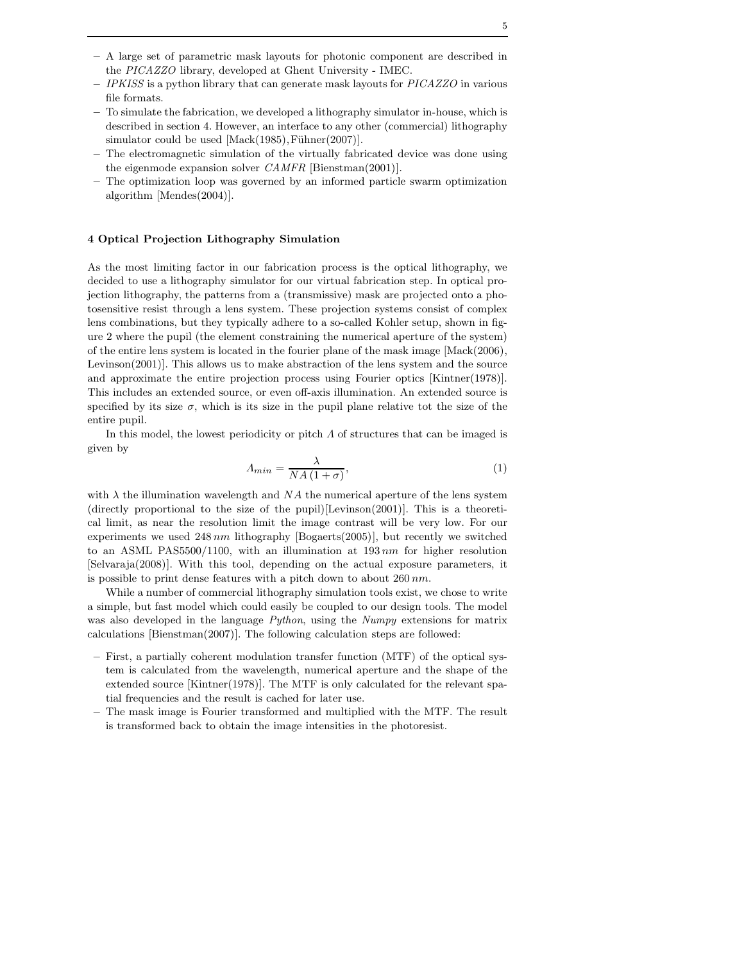- A large set of parametric mask layouts for photonic component are described in the PICAZZO library, developed at Ghent University - IMEC.
- $-$  IPKISS is a python library that can generate mask layouts for  $PICAZZO$  in various file formats.
- To simulate the fabrication, we developed a lithography simulator in-house, which is described in section 4. However, an interface to any other (commercial) lithography simulator could be used  $[Mack(1985),Fühner(2007)].$
- The electromagnetic simulation of the virtually fabricated device was done using the eigenmode expansion solver CAMFR [Bienstman(2001)].
- The optimization loop was governed by an informed particle swarm optimization algorithm [Mendes(2004)].

## 4 Optical Projection Lithography Simulation

As the most limiting factor in our fabrication process is the optical lithography, we decided to use a lithography simulator for our virtual fabrication step. In optical projection lithography, the patterns from a (transmissive) mask are projected onto a photosensitive resist through a lens system. These projection systems consist of complex lens combinations, but they typically adhere to a so-called Kohler setup, shown in figure 2 where the pupil (the element constraining the numerical aperture of the system) of the entire lens system is located in the fourier plane of the mask image [Mack(2006), Levinson(2001)]. This allows us to make abstraction of the lens system and the source and approximate the entire projection process using Fourier optics [Kintner(1978)]. This includes an extended source, or even off-axis illumination. An extended source is specified by its size  $\sigma$ , which is its size in the pupil plane relative tot the size of the entire pupil.

In this model, the lowest periodicity or pitch  $\Lambda$  of structures that can be imaged is given by

$$
A_{min} = \frac{\lambda}{NA(1+\sigma)},\tag{1}
$$

with  $\lambda$  the illumination wavelength and NA the numerical aperture of the lens system (directly proportional to the size of the pupil)[Levinson(2001)]. This is a theoretical limit, as near the resolution limit the image contrast will be very low. For our experiments we used  $248\,nm$  lithography [Bogaerts(2005)], but recently we switched to an ASML PAS5500/1100, with an illumination at  $193\,nm$  for higher resolution [Selvaraja(2008)]. With this tool, depending on the actual exposure parameters, it is possible to print dense features with a pitch down to about  $260\,nm$ .

While a number of commercial lithography simulation tools exist, we chose to write a simple, but fast model which could easily be coupled to our design tools. The model was also developed in the language *Python*, using the *Numpy* extensions for matrix calculations [Bienstman(2007)]. The following calculation steps are followed:

- First, a partially coherent modulation transfer function (MTF) of the optical system is calculated from the wavelength, numerical aperture and the shape of the extended source [Kintner(1978)]. The MTF is only calculated for the relevant spatial frequencies and the result is cached for later use.
- The mask image is Fourier transformed and multiplied with the MTF. The result is transformed back to obtain the image intensities in the photoresist.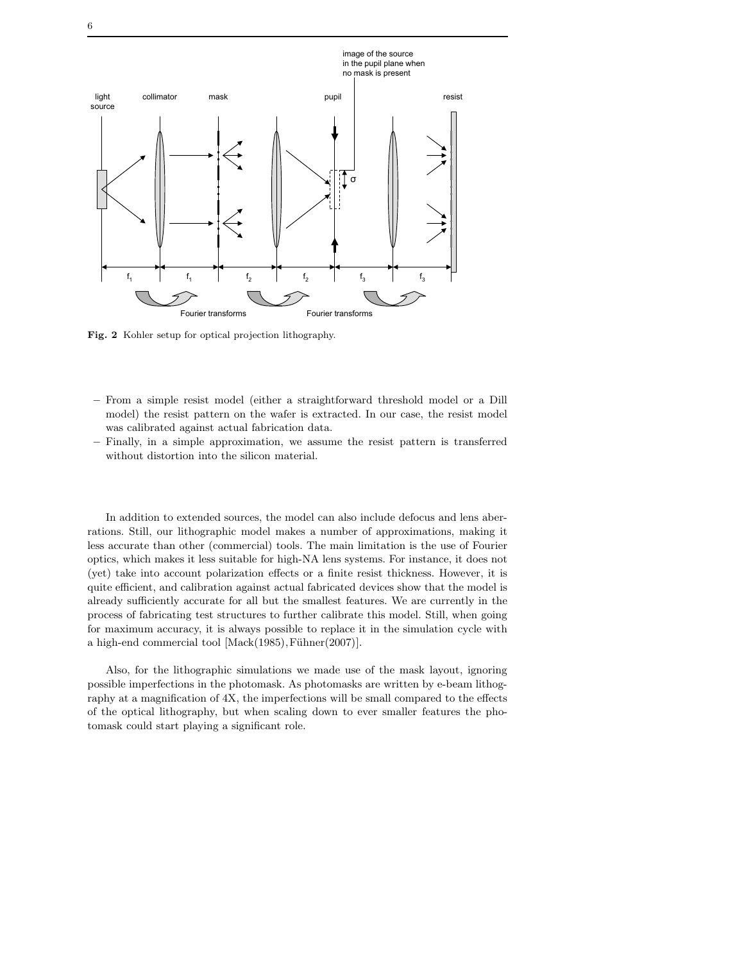

Fig. 2 Kohler setup for optical projection lithography.

- From a simple resist model (either a straightforward threshold model or a Dill model) the resist pattern on the wafer is extracted. In our case, the resist model was calibrated against actual fabrication data.
- Finally, in a simple approximation, we assume the resist pattern is transferred without distortion into the silicon material.

In addition to extended sources, the model can also include defocus and lens aberrations. Still, our lithographic model makes a number of approximations, making it less accurate than other (commercial) tools. The main limitation is the use of Fourier optics, which makes it less suitable for high-NA lens systems. For instance, it does not (yet) take into account polarization effects or a finite resist thickness. However, it is quite efficient, and calibration against actual fabricated devices show that the model is already sufficiently accurate for all but the smallest features. We are currently in the process of fabricating test structures to further calibrate this model. Still, when going for maximum accuracy, it is always possible to replace it in the simulation cycle with a high-end commercial tool  $[\text{Mack}(1985), \text{Fühner}(2007)].$ 

Also, for the lithographic simulations we made use of the mask layout, ignoring possible imperfections in the photomask. As photomasks are written by e-beam lithography at a magnification of 4X, the imperfections will be small compared to the effects of the optical lithography, but when scaling down to ever smaller features the photomask could start playing a significant role.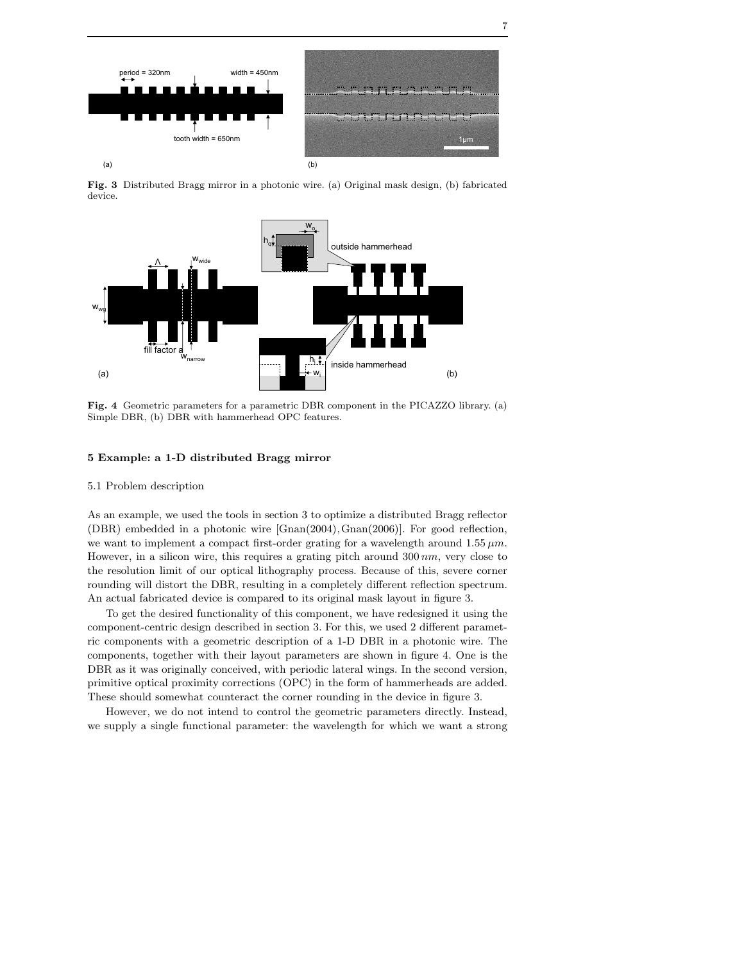

Fig. 3 Distributed Bragg mirror in a photonic wire. (a) Original mask design, (b) fabricated device.



Fig. 4 Geometric parameters for a parametric DBR component in the PICAZZO library. (a) Simple DBR, (b) DBR with hammerhead OPC features.

# 5 Example: a 1-D distributed Bragg mirror

# 5.1 Problem description

As an example, we used the tools in section 3 to optimize a distributed Bragg reflector (DBR) embedded in a photonic wire [Gnan(2004),Gnan(2006)]. For good reflection, we want to implement a compact first-order grating for a wavelength around  $1.55 \mu m$ . However, in a silicon wire, this requires a grating pitch around  $300 \, nm$ , very close to the resolution limit of our optical lithography process. Because of this, severe corner rounding will distort the DBR, resulting in a completely different reflection spectrum. An actual fabricated device is compared to its original mask layout in figure 3.

To get the desired functionality of this component, we have redesigned it using the component-centric design described in section 3. For this, we used 2 different parametric components with a geometric description of a 1-D DBR in a photonic wire. The components, together with their layout parameters are shown in figure 4. One is the DBR as it was originally conceived, with periodic lateral wings. In the second version, primitive optical proximity corrections (OPC) in the form of hammerheads are added. These should somewhat counteract the corner rounding in the device in figure 3.

However, we do not intend to control the geometric parameters directly. Instead, we supply a single functional parameter: the wavelength for which we want a strong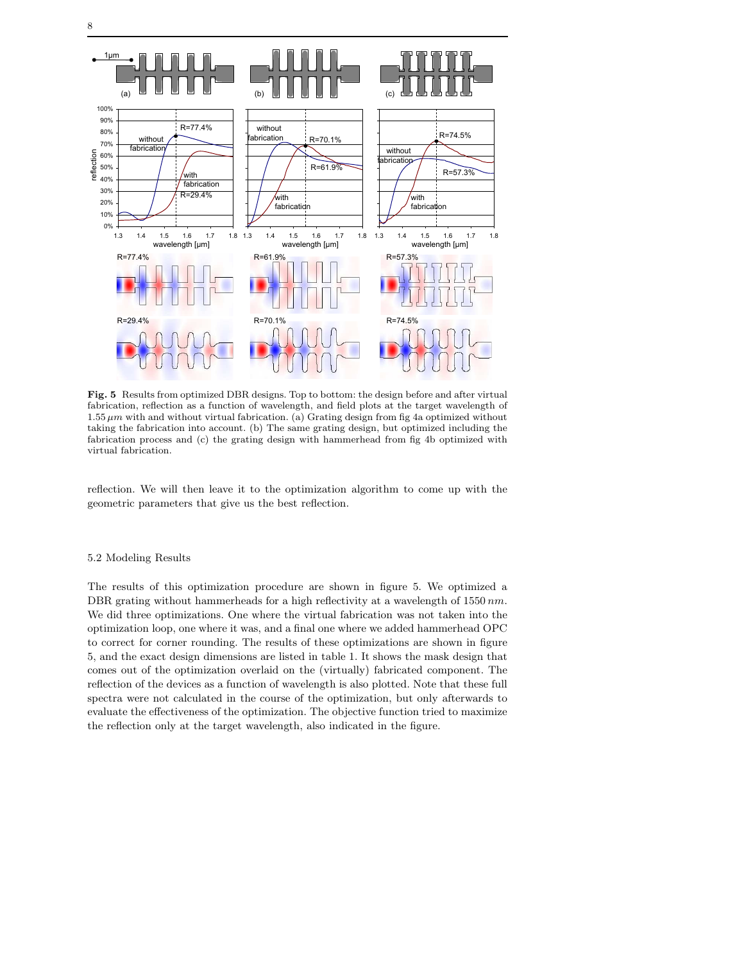

Fig. 5 Results from optimized DBR designs. Top to bottom: the design before and after virtual fabrication, reflection as a function of wavelength, and field plots at the target wavelength of  $1.55 \mu m$  with and without virtual fabrication. (a) Grating design from fig 4a optimized without taking the fabrication into account. (b) The same grating design, but optimized including the fabrication process and (c) the grating design with hammerhead from fig 4b optimized with virtual fabrication.

reflection. We will then leave it to the optimization algorithm to come up with the geometric parameters that give us the best reflection.

# 5.2 Modeling Results

The results of this optimization procedure are shown in figure 5. We optimized a DBR grating without hammerheads for a high reflectivity at a wavelength of  $1550$  nm. We did three optimizations. One where the virtual fabrication was not taken into the optimization loop, one where it was, and a final one where we added hammerhead OPC to correct for corner rounding. The results of these optimizations are shown in figure 5, and the exact design dimensions are listed in table 1. It shows the mask design that comes out of the optimization overlaid on the (virtually) fabricated component. The reflection of the devices as a function of wavelength is also plotted. Note that these full spectra were not calculated in the course of the optimization, but only afterwards to evaluate the effectiveness of the optimization. The objective function tried to maximize the reflection only at the target wavelength, also indicated in the figure.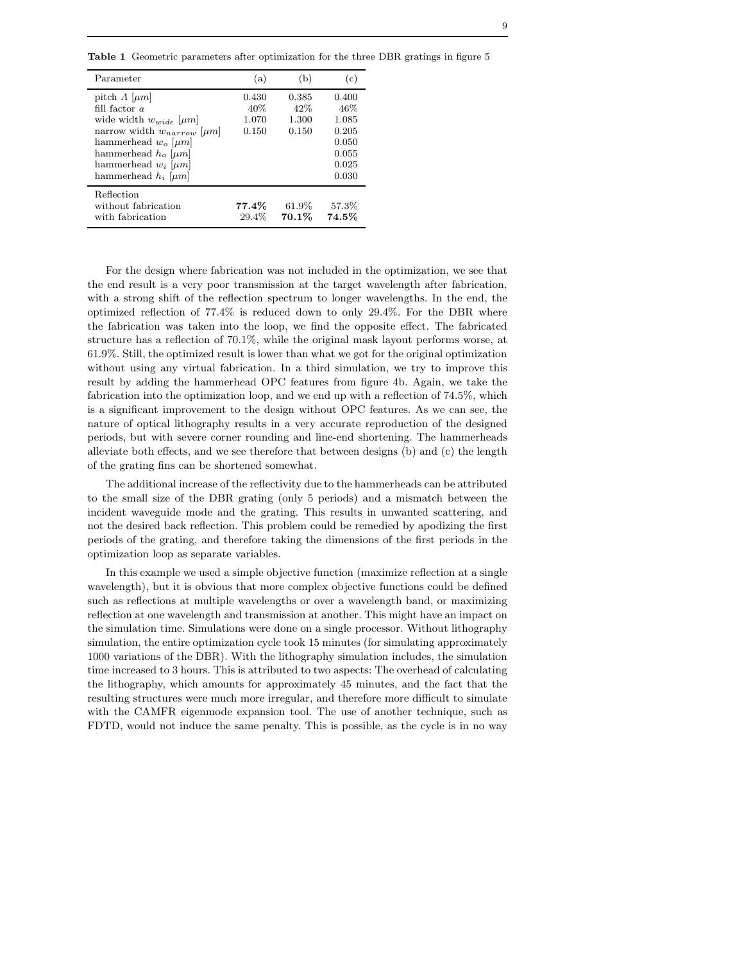Table 1 Geometric parameters after optimization for the three DBR gratings in figure 5

| Parameter                                                                                                                                                                                                                                             | (a)                            | (b)                            | (c)                                                                |
|-------------------------------------------------------------------------------------------------------------------------------------------------------------------------------------------------------------------------------------------------------|--------------------------------|--------------------------------|--------------------------------------------------------------------|
| pitch $\Lambda$ [ $\mu$ m]<br>fill factor $a$<br>wide width $w_{wide}$   $\mu$ m <br>narrow width $w_{narrow}$   $\mu$ m <br>hammerhead $w_o$   $\mu$ m <br>hammerhead $h_o$ [ $\mu$ m]<br>hammerhead $w_i$   $\mu$ m <br>hammerhead $h_i$ [ $\mu$ m] | 0.430<br>40%<br>1.070<br>0.150 | 0.385<br>42%<br>1.300<br>0.150 | 0.400<br>46%<br>1.085<br>0.205<br>0.050<br>0.055<br>0.025<br>0.030 |
| Reflection<br>without fabrication<br>with fabrication                                                                                                                                                                                                 | $77.4\%$<br>29.4%              | 61.9%<br>70.1%                 | 57.3%<br>74.5%                                                     |

For the design where fabrication was not included in the optimization, we see that the end result is a very poor transmission at the target wavelength after fabrication, with a strong shift of the reflection spectrum to longer wavelengths. In the end, the optimized reflection of 77.4% is reduced down to only 29.4%. For the DBR where the fabrication was taken into the loop, we find the opposite effect. The fabricated structure has a reflection of 70.1%, while the original mask layout performs worse, at 61.9%. Still, the optimized result is lower than what we got for the original optimization without using any virtual fabrication. In a third simulation, we try to improve this result by adding the hammerhead OPC features from figure 4b. Again, we take the fabrication into the optimization loop, and we end up with a reflection of 74.5%, which is a significant improvement to the design without OPC features. As we can see, the nature of optical lithography results in a very accurate reproduction of the designed periods, but with severe corner rounding and line-end shortening. The hammerheads alleviate both effects, and we see therefore that between designs (b) and (c) the length of the grating fins can be shortened somewhat.

The additional increase of the reflectivity due to the hammerheads can be attributed to the small size of the DBR grating (only 5 periods) and a mismatch between the incident waveguide mode and the grating. This results in unwanted scattering, and not the desired back reflection. This problem could be remedied by apodizing the first periods of the grating, and therefore taking the dimensions of the first periods in the optimization loop as separate variables.

In this example we used a simple objective function (maximize reflection at a single wavelength), but it is obvious that more complex objective functions could be defined such as reflections at multiple wavelengths or over a wavelength band, or maximizing reflection at one wavelength and transmission at another. This might have an impact on the simulation time. Simulations were done on a single processor. Without lithography simulation, the entire optimization cycle took 15 minutes (for simulating approximately 1000 variations of the DBR). With the lithography simulation includes, the simulation time increased to 3 hours. This is attributed to two aspects: The overhead of calculating the lithography, which amounts for approximately 45 minutes, and the fact that the resulting structures were much more irregular, and therefore more difficult to simulate with the CAMFR eigenmode expansion tool. The use of another technique, such as FDTD, would not induce the same penalty. This is possible, as the cycle is in no way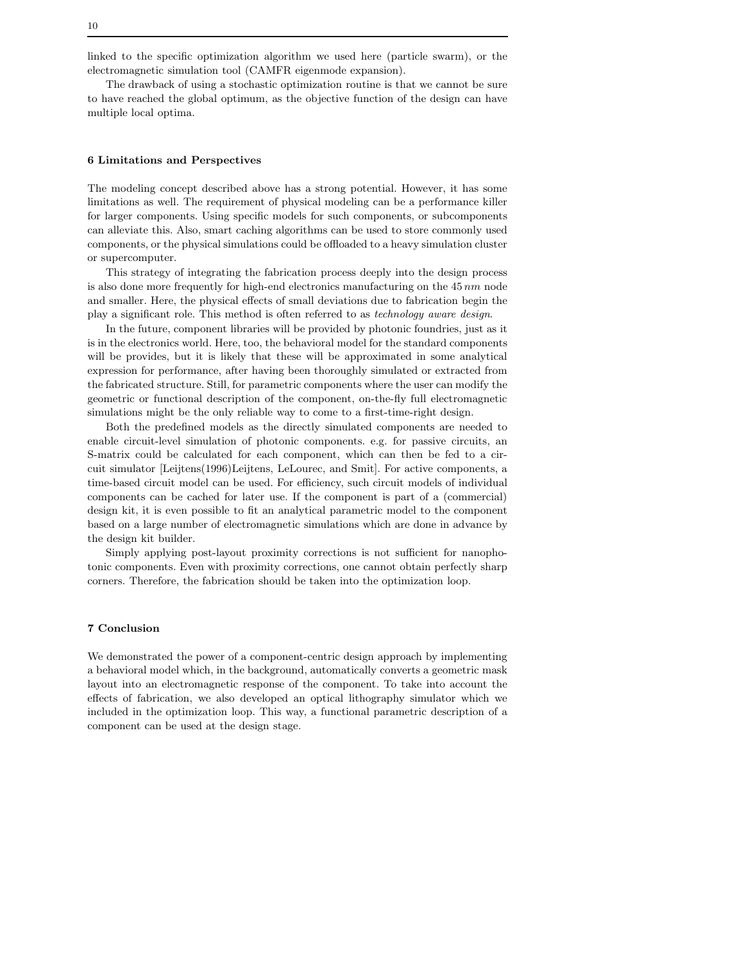linked to the specific optimization algorithm we used here (particle swarm), or the electromagnetic simulation tool (CAMFR eigenmode expansion).

The drawback of using a stochastic optimization routine is that we cannot be sure to have reached the global optimum, as the objective function of the design can have multiple local optima.

# 6 Limitations and Perspectives

The modeling concept described above has a strong potential. However, it has some limitations as well. The requirement of physical modeling can be a performance killer for larger components. Using specific models for such components, or subcomponents can alleviate this. Also, smart caching algorithms can be used to store commonly used components, or the physical simulations could be offloaded to a heavy simulation cluster or supercomputer.

This strategy of integrating the fabrication process deeply into the design process is also done more frequently for high-end electronics manufacturing on the  $45\,nm$  node and smaller. Here, the physical effects of small deviations due to fabrication begin the play a significant role. This method is often referred to as technology aware design.

In the future, component libraries will be provided by photonic foundries, just as it is in the electronics world. Here, too, the behavioral model for the standard components will be provides, but it is likely that these will be approximated in some analytical expression for performance, after having been thoroughly simulated or extracted from the fabricated structure. Still, for parametric components where the user can modify the geometric or functional description of the component, on-the-fly full electromagnetic simulations might be the only reliable way to come to a first-time-right design.

Both the predefined models as the directly simulated components are needed to enable circuit-level simulation of photonic components. e.g. for passive circuits, an S-matrix could be calculated for each component, which can then be fed to a circuit simulator [Leijtens(1996)Leijtens, LeLourec, and Smit]. For active components, a time-based circuit model can be used. For efficiency, such circuit models of individual components can be cached for later use. If the component is part of a (commercial) design kit, it is even possible to fit an analytical parametric model to the component based on a large number of electromagnetic simulations which are done in advance by the design kit builder.

Simply applying post-layout proximity corrections is not sufficient for nanophotonic components. Even with proximity corrections, one cannot obtain perfectly sharp corners. Therefore, the fabrication should be taken into the optimization loop.

# 7 Conclusion

We demonstrated the power of a component-centric design approach by implementing a behavioral model which, in the background, automatically converts a geometric mask layout into an electromagnetic response of the component. To take into account the effects of fabrication, we also developed an optical lithography simulator which we included in the optimization loop. This way, a functional parametric description of a component can be used at the design stage.